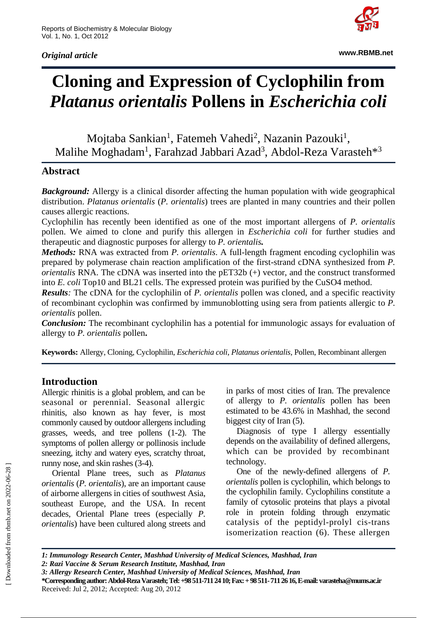*Original article*



**www.RBMB.net**

# **Cloning and Expression of Cyclophilin from**  *Platanus orientalis* **Pollens in** *Escherichia coli*

Mojtaba Sankian<sup>1</sup>, Fatemeh Vahedi<sup>2</sup>, Nazanin Pazouki<sup>1</sup>, Malihe Moghadam<sup>1</sup>, Farahzad Jabbari Azad<sup>3</sup>, Abdol-Reza Varasteh<sup>\*3</sup>

## **Abstract**

**Background:** Allergy is a clinical disorder affecting the human population with wide geographical distribution. *Platanus orientalis* (*P. orientalis*) trees are planted in many countries and their pollen causes allergic reactions.

Cyclophilin has recently been identified as one of the most important allergens of *P. orientalis*  pollen. We aimed to clone and purify this allergen in *Escherichia coli* for further studies and therapeutic and diagnostic purposes for allergy to *P. orientalis.*

*Methods:* RNA was extracted from *P. orientalis*. A full-length fragment encoding cyclophilin was prepared by polymerase chain reaction amplification of the first-strand cDNA synthesized from *P. orientalis* RNA. The cDNA was inserted into the pET32b (+) vector, and the construct transformed into *E. coli* Top10 and BL21 cells. The expressed protein was purified by the CuSO4 method.

*Results:* The cDNA for the cyclophilin of *P. orientalis* pollen was cloned, and a specific reactivity of recombinant cyclophin was confirmed by immunoblotting using sera from patients allergic to *P. orientalis* pollen.

*Conclusion:* The recombinant cyclophilin has a potential for immunologic assays for evaluation of allergy to *P. orientalis* pollen**.**

**Keywords:** Allergy, Cloning, Cyclophilin, *Escherichia coli*, *Platanus orientalis*, Pollen, Recombinant allergen

## **Introduction**

Allergic rhinitis is a global problem, and can be seasonal or perennial. Seasonal allergic rhinitis, also known as hay fever, is most commonly caused by outdoor allergens including grasses, weeds, and tree pollens (1-2). The symptoms of pollen allergy or pollinosis include sneezing, itchy and watery eyes, scratchy throat, runny nose, and skin rashes (3-4).

Oriental Plane trees, such as *Platanus orientalis* (*P. orientalis*), are an important cause of airborne allergens in cities of southwest Asia, southeast Europe, and the USA. In recent decades, Oriental Plane trees (especially *P. orientalis*) have been cultured along streets and in parks of most cities of Iran. The prevalence of allergy to *P. orientalis* pollen has been estimated to be 43.6% in Mashhad, the second biggest city of Iran (5).

Diagnosis of type I allergy essentially depends on the availability of defined allergens, which can be provided by recombinant technology.

One of the newly-defined allergens of *P. orientalis* pollen is cyclophilin, which belongs to the cyclophilin family. Cyclophilins constitute a family of cytosolic proteins that plays a pivotal role in protein folding through enzymatic catalysis of the peptidyl-prolyl cis-trans isomerization reaction (6). These allergen

**\*Corresponding author: Abdol-Reza Varasteh; Tel: +98 511-711 24 10; Fax: + 98 511-711 26 16, E-mail: varasteha@mums.ac.ir** Received: Jul 2, 2012; Accepted: Aug 20, 2012

*<sup>1:</sup> Immunology Research Center, Mashhad University of Medical Sciences, Mashhad, Iran 2: Razi Vaccine & Serum Research Institute, Mashhad, Iran*

*<sup>3:</sup> Allergy Research Center, Mashhad University of Medical Sciences, Mashhad, Iran*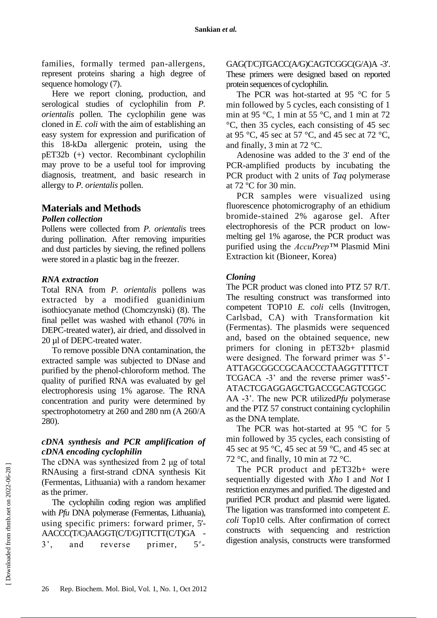families, formally termed pan-allergens, represent proteins sharing a high degree of sequence homology (7).

Here we report cloning, production, and serological studies of cyclophilin from *P. orientalis* pollen. The cyclophilin gene was cloned in *E. coli* with the aim of establishing an easy system for expression and purification of this 18-kDa allergenic protein, using the pET32b (+) vector. Recombinant cyclophilin may prove to be a useful tool for improving diagnosis, treatment, and basic research in allergy to *P. orientalis* pollen.

## **Materials and Methods**

## *Pollen collection*

Pollens were collected from *P. orientalis* trees during pollination. After removing impurities and dust particles by sieving, the refined pollens were stored in a plastic bag in the freezer.

## *RNA extraction*

Total RNA from *P. orientalis* pollens was extracted by a modified guanidinium isothiocyanate method (Chomczynski) (8). The final pellet was washed with ethanol (70% in DEPC-treated water), air dried, and dissolved in 20 µl of DEPC-treated water.

To remove possible DNA contamination, the extracted sample was subjected to DNase and purified by the phenol-chloroform method. The quality of purified RNA was evaluated by gel electrophoresis using 1% agarose. The RNA concentration and purity were determined by spectrophotometry at 260 and 280 nm (A 260/A 280).

## *cDNA synthesis and PCR amplification of cDNA encoding cyclophilin*

The cDNA was synthesized from 2 μg of total RNAusing a first-strand cDNA synthesis Kit (Fermentas, Lithuania) with a random hexamer as the primer.

The cyclophilin coding region was amplified with *Pfu* DNA polymerase (Fermentas, Lithuania), using specific primers: forward primer, 5- AACCC(T/C)AAGGT(C/T/G)TTCTT(C/T)GA - 3', and reverse primer, 5GAG(T/C)TGACC(A/G)CAGTCGGC(G/A)A -3'. These primers were designed based on reported protein sequences of cyclophilin.

The PCR was hot-started at 95 °C for 5 min followed by 5 cycles, each consisting of 1 min at 95 °C, 1 min at 55 °C, and 1 min at 72 °C, then 35 cycles, each consisting of 45 sec at 95 °C, 45 sec at 57 °C, and 45 sec at 72 °C, and finally, 3 min at 72 °C.

Adenosine was added to the 3' end of the PCR-amplified products by incubating the PCR product with 2 units of *Taq* polymerase at 72 ºC for 30 min.

PCR samples were visualized using fluorescence photomicrography of an ethidium bromide-stained 2% agarose gel. After electrophoresis of the PCR product on lowmelting gel 1% agarose, the PCR product was purified using the *AccuPrep™* Plasmid Mini Extraction kit (Bioneer, Korea)

## *Cloning*

The PCR product was cloned into PTZ 57 R/T. The resulting construct was transformed into competent TOP10 *E. coli* cells (Invitrogen, Carlsbad, CA) with Transformation kit (Fermentas). The plasmids were sequenced and, based on the obtained sequence, new primers for cloning in pET32b+ plasmid were designed. The forward primer was 5'- ATTAGCGGCCGCAACCCTAAGGTTTTCT TCGACA -3' and the reverse primer was5'- ATACTCGAGGAGCTGACCGCAGTCGGC AA -3'. The new PCR utilized*Pfu* polymerase and the PTZ 57 construct containing cyclophilin as the DNA template.

The PCR was hot-started at 95 °C for 5 min followed by 35 cycles, each consisting of 45 sec at 95 °C, 45 sec at 59 °C, and 45 sec at 72 °C, and finally, 10 min at 72 °C.

The PCR product and pET32b+ were sequentially digested with *Xho* I and *Not* I restriction enzymes and purified. The digested and purified PCR product and plasmid were ligated. The ligation was transformed into competent *E. coli* Top10 cells. After confirmation of correct constructs with sequencing and restriction digestion analysis, constructs were transformed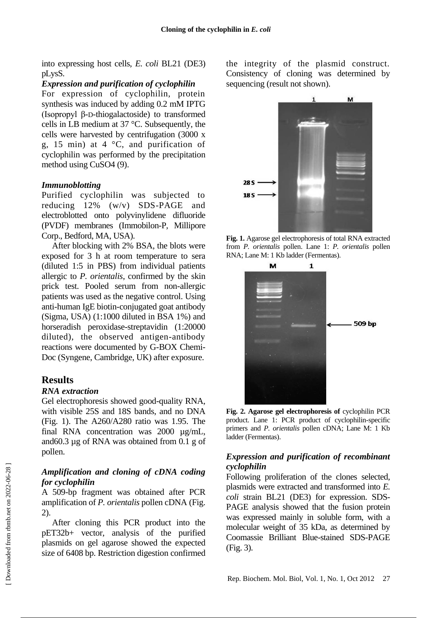into expressing host cells, *E. coli* BL21 (DE3) pLysS.

#### *Expression and purification of cyclophilin*

For expression of cyclophilin, protein synthesis was induced by adding 0.2 mM IPTG (Isopropyl β-D-thiogalactoside) to transformed cells in LB medium at 37 °C. Subsequently, the cells were harvested by centrifugation (3000 x g, 15 min) at 4  $\degree$ C, and purification of cyclophilin was performed by the precipitation method using CuSO4 (9).

#### *Immunoblotting*

Purified cyclophilin was subjected to reducing 12% (w/v) SDS-PAGE and electroblotted onto polyvinylidene difluoride (PVDF) membranes (Immobilon-P, Millipore Corp., Bedford, MA, USA).

After blocking with 2% BSA, the blots were exposed for 3 h at room temperature to sera (diluted 1:5 in PBS) from individual patients allergic to *P. orientalis*, confirmed by the skin prick test. Pooled serum from non-allergic patients was used as the negative control. Using anti-human IgE biotin-conjugated goat antibody (Sigma, USA) (1:1000 diluted in BSA 1%) and horseradish peroxidase-streptavidin (1:20000 diluted), the observed antigen-antibody reactions were documented by G-BOX Chemi-Doc (Syngene, Cambridge, UK) after exposure.

## **Results**

#### *RNA extraction*

Gel electrophoresis showed good-quality RNA, with visible 25S and 18S bands, and no DNA (Fig. 1). The A260/A280 ratio was 1.95. The final RNA concentration was 2000 µg/mL, and60.3 µg of RNA was obtained from 0.1 g of pollen.

## *Amplification and cloning of cDNA coding for cyclophilin*

A 509-bp fragment was obtained after PCR amplification of *P. orientalis* pollen cDNA (Fig. 2).

After cloning this PCR product into the pET32b+ vector, analysis of the purified plasmids on gel agarose showed the expected size of 6408 bp. Restriction digestion confirmed the integrity of the plasmid construct. Consistency of cloning was determined by sequencing (result not shown).



**Fig. 1.** Agarose gel electrophoresis of total RNA extracted from *P. orientalis* pollen. Lane 1: *P. orientalis* pollen RNA; Lane M: 1 Kb ladder (Fermentas).





## *Expression and purification of recombinant cyclophilin*

Following proliferation of the clones selected, plasmids were extracted and transformed into *E. coli* strain BL21 (DE3) for expression. SDS-PAGE analysis showed that the fusion protein was expressed mainly in soluble form, with a molecular weight of 35 kDa, as determined by Coomassie Brilliant Blue-stained SDS-PAGE (Fig. 3).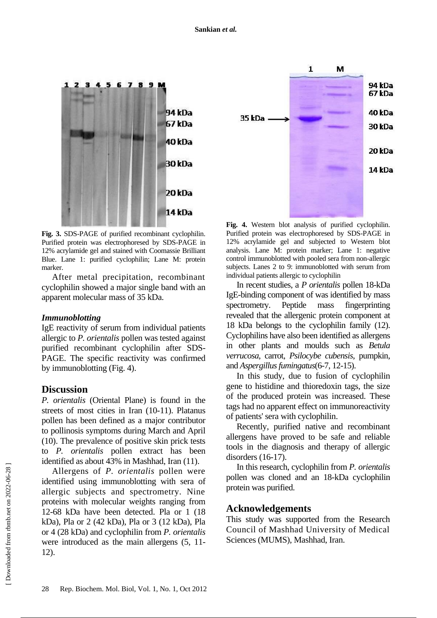

**Fig. 3.** SDS-PAGE of purified recombinant cyclophilin. Purified protein was electrophoresed by SDS-PAGE in 12% acrylamide gel and stained with Coomassie Brilliant Blue. Lane 1: purified cyclophilin; Lane M: protein marker.

After metal precipitation, recombinant cyclophilin showed a major single band with an apparent molecular mass of 35 kDa.

#### *Immunoblotting*

IgE reactivity of serum from individual patients allergic to *P. orientalis* pollen was tested against purified recombinant cyclophilin after SDS-PAGE. The specific reactivity was confirmed by immunoblotting (Fig. 4).

## **Discussion**

*P. orientalis* (Oriental Plane) is found in the streets of most cities in Iran (10-11). Platanus pollen has been defined as a major contributor to pollinosis symptoms during March and April (10). The prevalence of positive skin prick tests to *P. orientalis* pollen extract has been identified as about 43% in Mashhad, Iran (11).

Allergens of *P. orientalis* pollen were identified using immunoblotting with sera of allergic subjects and spectrometry. Nine proteins with molecular weights ranging from 12-68 kDa have been detected. Pla or 1 (18 kDa), Pla or 2 (42 kDa), Pla or 3 (12 kDa), Pla or 4 (28 kDa) and cyclophilin from *P. orientalis* were introduced as the main allergens (5, 11- 12).



**Fig. 4.** Western blot analysis of purified cyclophilin. Purified protein was electrophoresed by SDS-PAGE in 12% acrylamide gel and subjected to Western blot analysis. Lane M: protein marker; Lane 1: negative control immunoblotted with pooled sera from non-allergic subjects. Lanes 2 to 9: immunoblotted with serum from individual patients allergic to cyclophilin

In recent studies, a *P orientalis* pollen 18-kDa IgE-binding component of was identified by mass spectrometry. Peptide mass fingerprinting revealed that the allergenic protein component at 18 kDa belongs to the cyclophilin family (12). Cyclophilins have also been identified as allergens in other plants and moulds such as *Betula verrucosa*, carrot, *Psilocybe cubensis*, pumpkin, and *Aspergillus fumingatus*(6-7, 12-15).

In this study, due to fusion of cyclophilin gene to histidine and thioredoxin tags, the size of the produced protein was increased. These tags had no apparent effect on immunoreactivity of patients' sera with cyclophilin.

Recently, purified native and recombinant allergens have proved to be safe and reliable tools in the diagnosis and therapy of allergic disorders (16-17).

In this research, cyclophilin from *P. orientalis* pollen was cloned and an 18-kDa cyclophilin protein was purified.

## **Acknowledgements**

This study was supported from the Research Council of Mashhad University of Medical Sciences (MUMS), Mashhad, Iran.